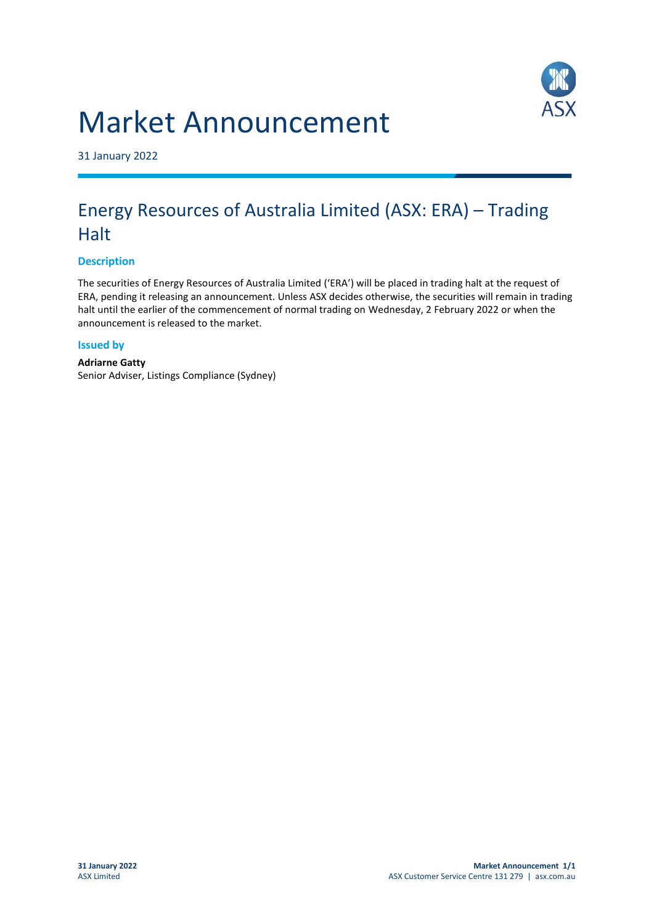



31 January 2022

## Energy Resources of Australia Limited (ASX: ERA) – Trading **Halt**

## **Description**

The securities of Energy Resources of Australia Limited ('ERA') will be placed in trading halt at the request of ERA, pending it releasing an announcement. Unless ASX decides otherwise, the securities will remain in trading halt until the earlier of the commencement of normal trading on Wednesday, 2 February 2022 or when the announcement is released to the market.

## **Issued by**

**Adriarne Gatty** Senior Adviser, Listings Compliance (Sydney)